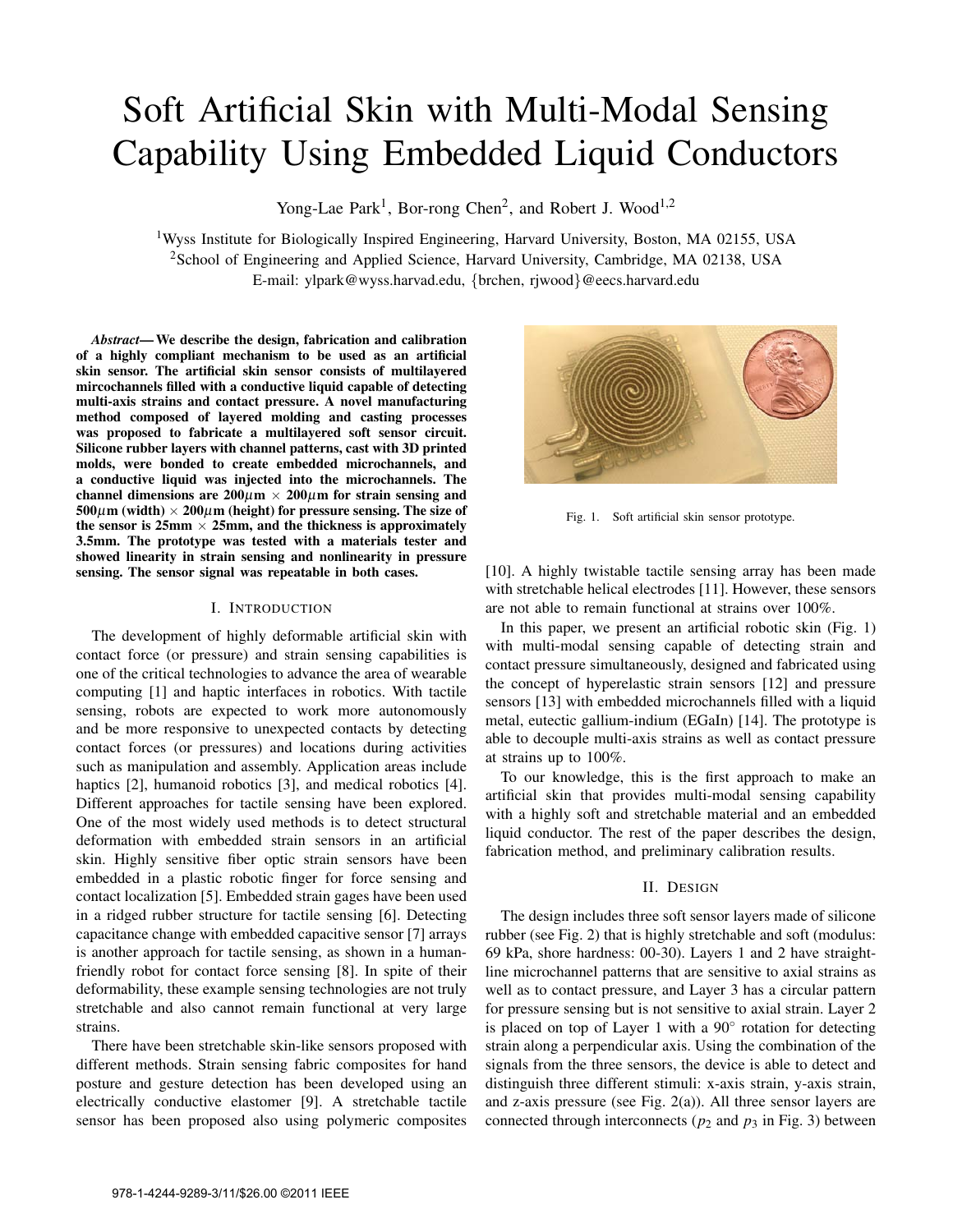# Soft Artificial Skin with Multi-Modal Sensing Capability Using Embedded Liquid Conductors

Yong-Lae Park<sup>1</sup>, Bor-rong Chen<sup>2</sup>, and Robert J. Wood<sup>1,2</sup>

<sup>1</sup>Wyss Institute for Biologically Inspired Engineering, Harvard University, Boston, MA 02155, USA <sup>2</sup>School of Engineering and Applied Science, Harvard University, Cambridge, MA 02138, USA E-mail: ylpark@wyss.harvad.edu, {brchen, rjwood}@eecs.harvard.edu

*Abstract*— We describe the design, fabrication and calibration of a highly compliant mechanism to be used as an artificial skin sensor. The artificial skin sensor consists of multilayered mircochannels filled with a conductive liquid capable of detecting multi-axis strains and contact pressure. A novel manufacturing method composed of layered molding and casting processes was proposed to fabricate a multilayered soft sensor circuit. Silicone rubber layers with channel patterns, cast with 3D printed molds, were bonded to create embedded microchannels, and a conductive liquid was injected into the microchannels. The channel dimensions are  $200 \mu m \times 200 \mu m$  for strain sensing and  $500\mu$ m (width)  $\times 200\mu$ m (height) for pressure sensing. The size of the sensor is  $25 \text{mm} \times 25 \text{mm}$ , and the thickness is approximately 3.5mm. The prototype was tested with a materials tester and showed linearity in strain sensing and nonlinearity in pressure sensing. The sensor signal was repeatable in both cases.

# I. INTRODUCTION

The development of highly deformable artificial skin with contact force (or pressure) and strain sensing capabilities is one of the critical technologies to advance the area of wearable computing [1] and haptic interfaces in robotics. With tactile sensing, robots are expected to work more autonomously and be more responsive to unexpected contacts by detecting contact forces (or pressures) and locations during activities such as manipulation and assembly. Application areas include haptics [2], humanoid robotics [3], and medical robotics [4]. Different approaches for tactile sensing have been explored. One of the most widely used methods is to detect structural deformation with embedded strain sensors in an artificial skin. Highly sensitive fiber optic strain sensors have been embedded in a plastic robotic finger for force sensing and contact localization [5]. Embedded strain gages have been used in a ridged rubber structure for tactile sensing [6]. Detecting capacitance change with embedded capacitive sensor [7] arrays is another approach for tactile sensing, as shown in a humanfriendly robot for contact force sensing [8]. In spite of their deformability, these example sensing technologies are not truly stretchable and also cannot remain functional at very large strains.

There have been stretchable skin-like sensors proposed with different methods. Strain sensing fabric composites for hand posture and gesture detection has been developed using an electrically conductive elastomer [9]. A stretchable tactile sensor has been proposed also using polymeric composites



Fig. 1. Soft artificial skin sensor prototype.

[10]. A highly twistable tactile sensing array has been made with stretchable helical electrodes [11]. However, these sensors are not able to remain functional at strains over 100%.

In this paper, we present an artificial robotic skin (Fig. 1) with multi-modal sensing capable of detecting strain and contact pressure simultaneously, designed and fabricated using the concept of hyperelastic strain sensors [12] and pressure sensors [13] with embedded microchannels filled with a liquid metal, eutectic gallium-indium (EGaIn) [14]. The prototype is able to decouple multi-axis strains as well as contact pressure at strains up to 100%.

To our knowledge, this is the first approach to make an artificial skin that provides multi-modal sensing capability with a highly soft and stretchable material and an embedded liquid conductor. The rest of the paper describes the design, fabrication method, and preliminary calibration results.

## II. DESIGN

The design includes three soft sensor layers made of silicone rubber (see Fig. 2) that is highly stretchable and soft (modulus: 69 kPa, shore hardness: 00-30). Layers 1 and 2 have straightline microchannel patterns that are sensitive to axial strains as well as to contact pressure, and Layer 3 has a circular pattern for pressure sensing but is not sensitive to axial strain. Layer 2 is placed on top of Layer 1 with a 90° rotation for detecting strain along a perpendicular axis. Using the combination of the signals from the three sensors, the device is able to detect and distinguish three different stimuli: x-axis strain, y-axis strain, and z-axis pressure (see Fig. 2(a)). All three sensor layers are connected through interconnects ( $p_2$  and  $p_3$  in Fig. 3) between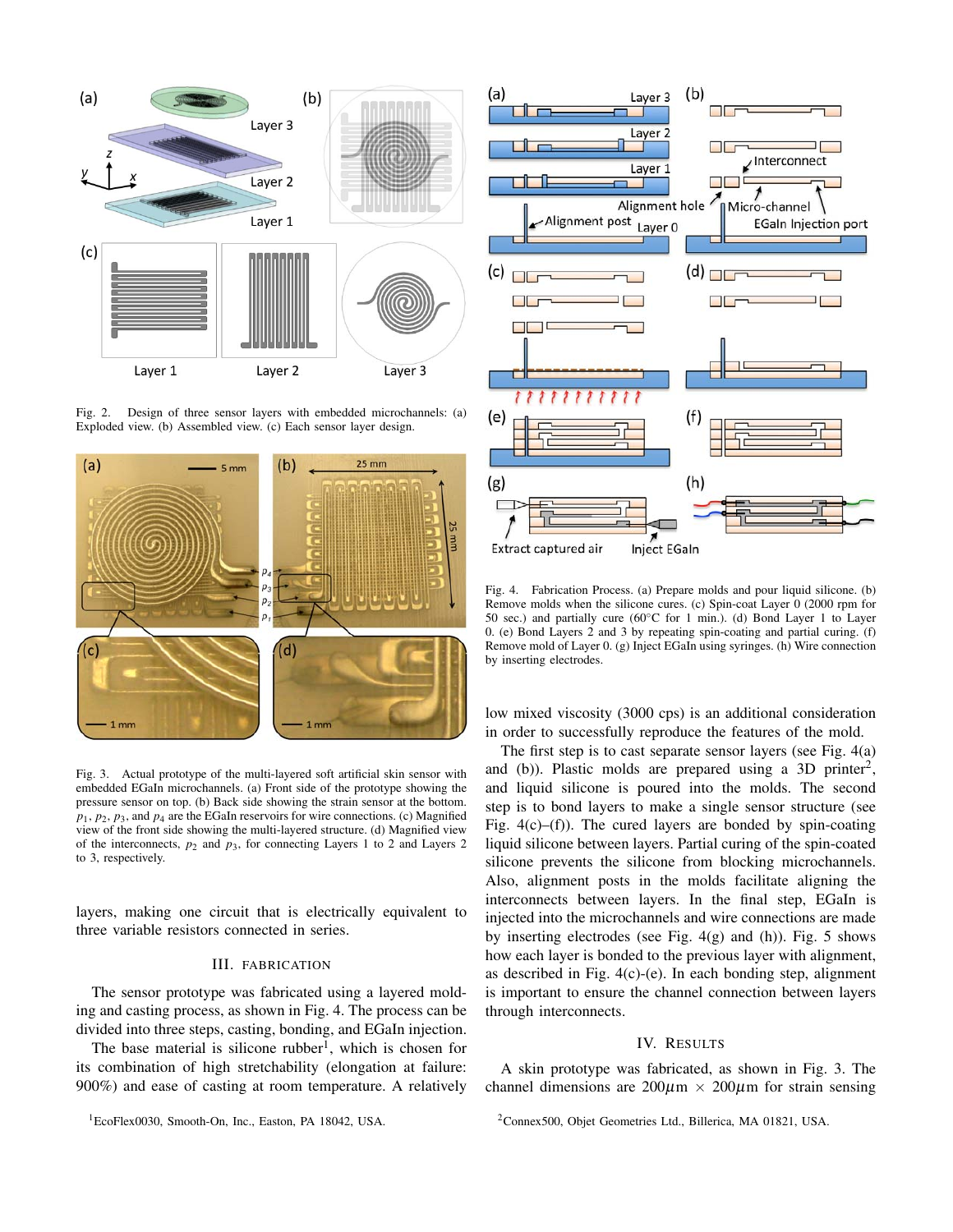

Fig. 2. Design of three sensor layers with embedded microchannels: (a) Exploded view. (b) Assembled view. (c) Each sensor layer design.



Fig. 3. Actual prototype of the multi-layered soft artificial skin sensor with embedded EGaIn microchannels. (a) Front side of the prototype showing the pressure sensor on top. (b) Back side showing the strain sensor at the bottom.  $p_1$ ,  $p_2$ ,  $p_3$ , and  $p_4$  are the EGaIn reservoirs for wire connections. (c) Magnified view of the front side showing the multi-layered structure. (d) Magnified view of the interconnects,  $p_2$  and  $p_3$ , for connecting Layers 1 to 2 and Layers 2 to 3, respectively.

layers, making one circuit that is electrically equivalent to three variable resistors connected in series.

## III. FABRICATION

The sensor prototype was fabricated using a layered molding and casting process, as shown in Fig. 4. The process can be divided into three steps, casting, bonding, and EGaIn injection.

The base material is silicone rubber<sup>1</sup>, which is chosen for its combination of high stretchability (elongation at failure: 900%) and ease of casting at room temperature. A relatively



Fig. 4. Fabrication Process. (a) Prepare molds and pour liquid silicone. (b) Remove molds when the silicone cures. (c) Spin-coat Layer 0 (2000 rpm for 50 sec.) and partially cure (60◦C for 1 min.). (d) Bond Layer 1 to Layer 0. (e) Bond Layers 2 and 3 by repeating spin-coating and partial curing. (f) Remove mold of Layer 0. (g) Inject EGaIn using syringes. (h) Wire connection by inserting electrodes.

low mixed viscosity (3000 cps) is an additional consideration in order to successfully reproduce the features of the mold.

The first step is to cast separate sensor layers (see Fig. 4(a) and (b)). Plastic molds are prepared using a 3D printer<sup>2</sup>, and liquid silicone is poured into the molds. The second step is to bond layers to make a single sensor structure (see Fig.  $4(c)$ –(f)). The cured layers are bonded by spin-coating liquid silicone between layers. Partial curing of the spin-coated silicone prevents the silicone from blocking microchannels. Also, alignment posts in the molds facilitate aligning the interconnects between layers. In the final step, EGaIn is injected into the microchannels and wire connections are made by inserting electrodes (see Fig.  $4(g)$  and (h)). Fig. 5 shows how each layer is bonded to the previous layer with alignment, as described in Fig. 4(c)-(e). In each bonding step, alignment is important to ensure the channel connection between layers through interconnects.

## IV. RESULTS

A skin prototype was fabricated, as shown in Fig. 3. The channel dimensions are  $200\mu m \times 200\mu m$  for strain sensing

<sup>&</sup>lt;sup>1</sup>EcoFlex0030, Smooth-On, Inc., Easton, PA 18042, USA.

<sup>2</sup>Connex500, Objet Geometries Ltd., Billerica, MA 01821, USA.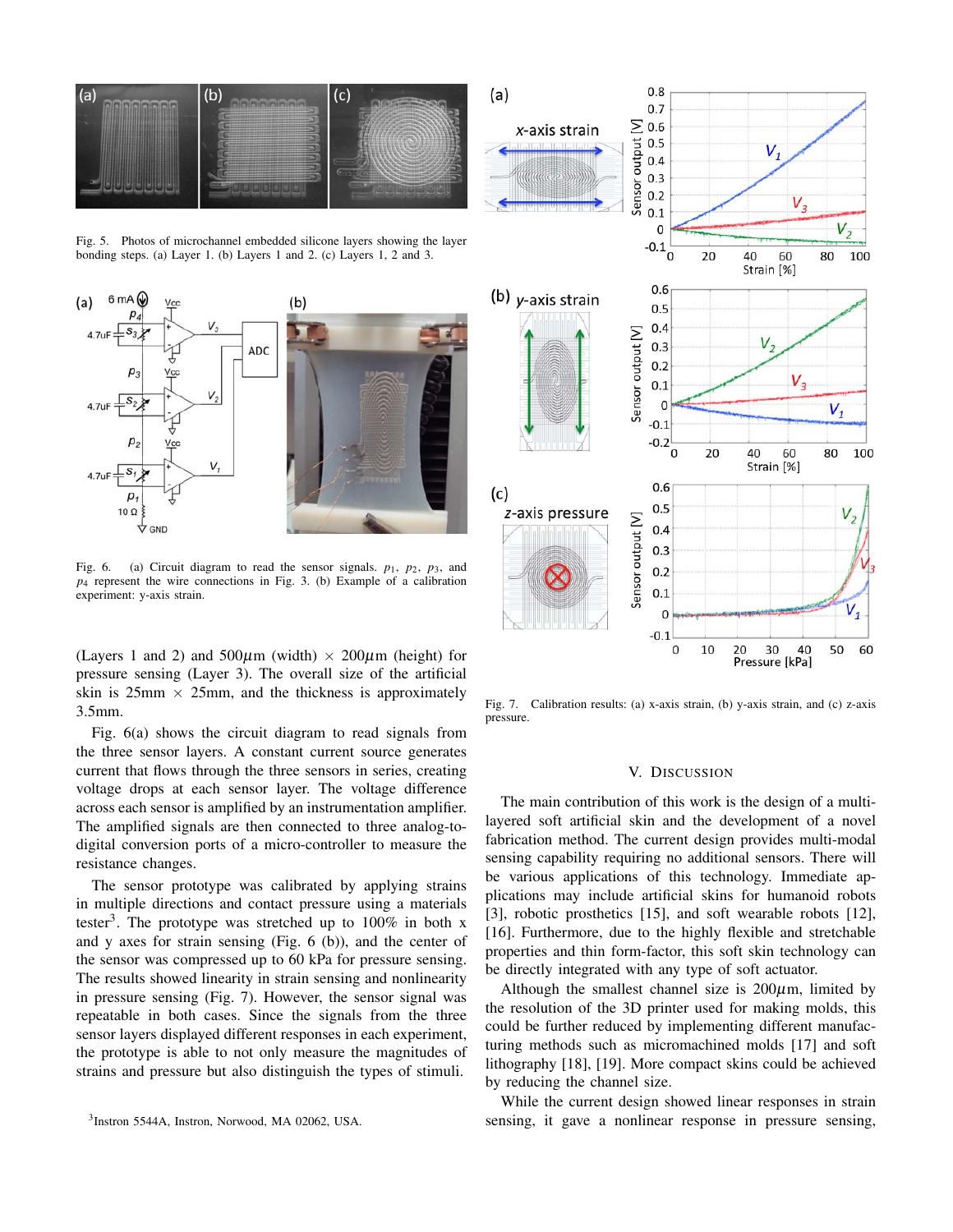

Fig. 5. Photos of microchannel embedded silicone layers showing the layer bonding steps. (a) Layer 1. (b) Layers 1 and 2. (c) Layers 1, 2 and 3.



Fig. 6. (a) Circuit diagram to read the sensor signals.  $p_1$ ,  $p_2$ ,  $p_3$ , and *p*<sup>4</sup> represent the wire connections in Fig. 3. (b) Example of a calibration experiment: y-axis strain.

(Layers 1 and 2) and  $500\mu m$  (width)  $\times 200\mu m$  (height) for pressure sensing (Layer 3). The overall size of the artificial skin is  $25 \text{mm} \times 25 \text{mm}$ , and the thickness is approximately 3.5mm.

Fig. 6(a) shows the circuit diagram to read signals from the three sensor layers. A constant current source generates current that flows through the three sensors in series, creating voltage drops at each sensor layer. The voltage difference across each sensor is amplified by an instrumentation amplifier. The amplified signals are then connected to three analog-todigital conversion ports of a micro-controller to measure the resistance changes.

The sensor prototype was calibrated by applying strains in multiple directions and contact pressure using a materials tester<sup>3</sup>. The prototype was stretched up to  $100\%$  in both x and y axes for strain sensing (Fig. 6 (b)), and the center of the sensor was compressed up to 60 kPa for pressure sensing. The results showed linearity in strain sensing and nonlinearity in pressure sensing (Fig. 7). However, the sensor signal was repeatable in both cases. Since the signals from the three sensor layers displayed different responses in each experiment, the prototype is able to not only measure the magnitudes of strains and pressure but also distinguish the types of stimuli.



Fig. 7. Calibration results: (a) x-axis strain, (b) y-axis strain, and (c) z-axis pressure.

## V. DISCUSSION

The main contribution of this work is the design of a multilayered soft artificial skin and the development of a novel fabrication method. The current design provides multi-modal sensing capability requiring no additional sensors. There will be various applications of this technology. Immediate applications may include artificial skins for humanoid robots [3], robotic prosthetics [15], and soft wearable robots [12], [16]. Furthermore, due to the highly flexible and stretchable properties and thin form-factor, this soft skin technology can be directly integrated with any type of soft actuator.

Although the smallest channel size is  $200 \mu m$ , limited by the resolution of the 3D printer used for making molds, this could be further reduced by implementing different manufacturing methods such as micromachined molds [17] and soft lithography [18], [19]. More compact skins could be achieved by reducing the channel size.

While the current design showed linear responses in strain sensing, it gave a nonlinear response in pressure sensing,

<sup>3</sup> Instron 5544A, Instron, Norwood, MA 02062, USA.